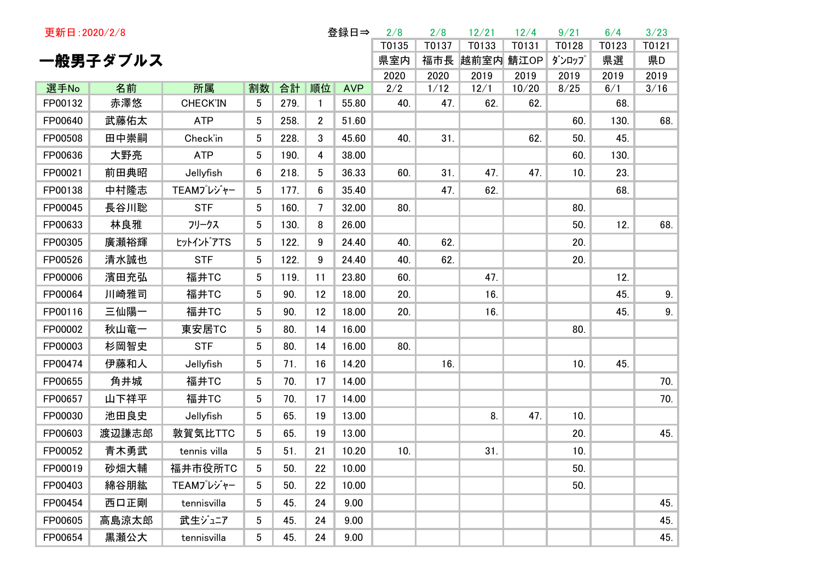| 更新日: 2020/2/8   |           |                       |                 |            | 登録日⇒            |                     | 2/8        | 2/8         | 12/21         | 12/4         | 9/21  | 6/4        | 3/23  |
|-----------------|-----------|-----------------------|-----------------|------------|-----------------|---------------------|------------|-------------|---------------|--------------|-------|------------|-------|
|                 |           |                       |                 |            |                 |                     | T0135      | T0137       | T0133         | T0131        | T0128 | T0123      | T0121 |
|                 | 一般男子ダブルス  |                       |                 |            |                 |                     | 県室内        |             | 福市長 越前室内 鯖江OP |              | ダンロップ | 県選         | 県D    |
|                 |           |                       |                 |            |                 |                     | 2020       | 2020        | 2019          | 2019         | 2019  | 2019       | 2019  |
| 選手No<br>FP00132 | 名前<br>赤澤悠 | 所属<br><b>CHECK'IN</b> | 割数<br>5         | 合計<br>279. | 順位<br>1         | <b>AVP</b><br>55.80 | 2/2<br>40. | 1/12<br>47. | 12/1<br>62.   | 10/20<br>62. | 8/25  | 6/1<br>68. | 3/16  |
| FP00640         | 武藤佑太      | <b>ATP</b>            | 5               | 258.       | $\overline{2}$  | 51.60               |            |             |               |              | 60.   | 130.       | 68.   |
| FP00508         | 田中崇嗣      | Check'in              | 5               | 228.       | 3               | 45.60               | 40.        | 31.         |               | 62.          | 50.   | 45.        |       |
| FP00636         | 大野亮       | <b>ATP</b>            | $5\phantom{.0}$ | 190.       | 4               | 38.00               |            |             |               |              | 60.   | 130.       |       |
| FP00021         | 前田典昭      | Jellyfish             | 6               | 218.       | 5               | 36.33               | 60.        | 31.         | 47.           | 47.          | 10.   | 23.        |       |
| FP00138         | 中村隆志      | TEAMプレジャー             | 5               | 177.       | 6               | 35.40               |            | 47.         | 62.           |              |       | 68.        |       |
| FP00045         | 長谷川聡      | <b>STF</b>            | 5 <sup>5</sup>  | 160.       | $7\overline{ }$ | 32.00               | 80.        |             |               |              | 80.   |            |       |
| FP00633         | 林良雅       | フリークス                 | 5               | 130.       | 8               | 26.00               |            |             |               |              | 50.   | 12.        | 68.   |
| FP00305         | 廣瀬裕輝      | ヒットイントアTS             | 5               | 122.       | 9               | 24.40               | 40.        | 62.         |               |              | 20.   |            |       |
| FP00526         | 清水誠也      | <b>STF</b>            | $5\phantom{.0}$ | 122.       | 9               | 24.40               | 40.        | 62.         |               |              | 20.   |            |       |
| FP00006         | 濱田充弘      | 福井TC                  | 5               | 119.       | 11              | 23.80               | 60.        |             | 47.           |              |       | 12.        |       |
| FP00064         | 川崎雅司      | 福井TC                  | 5               | 90.        | 12              | 18.00               | 20.        |             | 16.           |              |       | 45.        | 9.    |
| FP00116         | 三仙陽一      | 福井TC                  | 5               | 90.        | 12              | 18.00               | 20.        |             | 16.           |              |       | 45.        | 9.    |
| FP00002         | 秋山竜一      | 東安居TC                 | 5               | 80.        | 14              | 16.00               |            |             |               |              | 80.   |            |       |
| FP00003         | 杉岡智史      | <b>STF</b>            | 5               | 80.        | 14              | 16.00               | 80.        |             |               |              |       |            |       |
| FP00474         | 伊藤和人      | Jellyfish             | 5               | 71.        | 16              | 14.20               |            | 16.         |               |              | 10.   | 45.        |       |
| FP00655         | 角井城       | 福井TC                  | 5               | 70.        | 17              | 14.00               |            |             |               |              |       |            | 70.   |
| FP00657         | 山下祥平      | 福井TC                  | 5               | 70.        | 17              | 14.00               |            |             |               |              |       |            | 70.   |
| FP00030         | 池田良史      | Jellyfish             | 5               | 65.        | 19              | 13.00               |            |             | 8.            | 47.          | 10.   |            |       |
| FP00603         | 渡辺謙志郎     | 敦賀気比TTC               | 5               | 65.        | 19              | 13.00               |            |             |               |              | 20.   |            | 45.   |
| FP00052         | 青木勇武      | tennis villa          | 5               | 51.        | 21              | 10.20               | 10.        |             | 31.           |              | 10.   |            |       |
| FP00019         | 砂畑大輔      | 福井市役所TC               | 5               | 50.        | 22              | 10.00               |            |             |               |              | 50.   |            |       |
| FP00403         | 綿谷朋紘      | TEAMプレジャー             | 5               | 50.        | 22              | 10.00               |            |             |               |              | 50.   |            |       |
| FP00454         | 西口正剛      | tennisvilla           | 5               | 45.        | 24              | 9.00                |            |             |               |              |       |            | 45.   |
| FP00605         | 高島涼太郎     | 武生ジュニア                | 5               | 45.        | 24              | 9.00                |            |             |               |              |       |            | 45.   |
| FP00654         | 黒瀬公大      | tennisvilla           | 5               | 45.        | 24              | 9.00                |            |             |               |              |       |            | 45.   |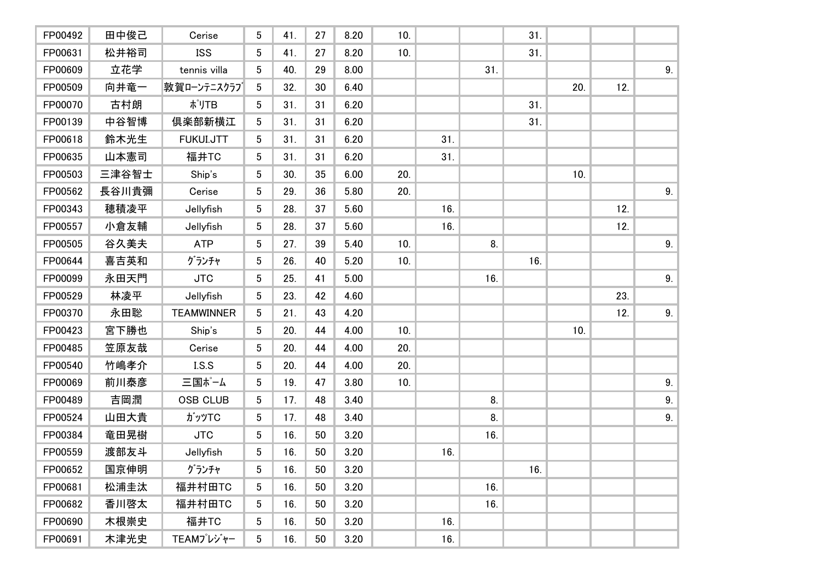| FP00492 | 田中俊己  | Cerise            | 5               | 41. | 27 | 8.20 | 10. |     |     | 31. |     |     |    |
|---------|-------|-------------------|-----------------|-----|----|------|-----|-----|-----|-----|-----|-----|----|
| FP00631 | 松井裕司  | <b>ISS</b>        | 5               | 41. | 27 | 8.20 | 10. |     |     | 31. |     |     |    |
| FP00609 | 立花学   | tennis villa      | $5\overline{)}$ | 40. | 29 | 8.00 |     |     | 31. |     |     |     | 9. |
| FP00509 | 向井竜一  | 敦賀ローンテニスクラブ       | 5               | 32. | 30 | 6.40 |     |     |     |     | 20. | 12. |    |
| FP00070 | 古村朗   | ポリTB              | 5 <sup>5</sup>  | 31. | 31 | 6.20 |     |     |     | 31. |     |     |    |
| FP00139 | 中谷智博  | 倶楽部新横江            | 5               | 31. | 31 | 6.20 |     |     |     | 31. |     |     |    |
| FP00618 | 鈴木光生  | FUKUI.JTT         | 5 <sup>5</sup>  | 31. | 31 | 6.20 |     | 31. |     |     |     |     |    |
| FP00635 | 山本憲司  | 福井TC              | $5\overline{)}$ | 31. | 31 | 6.20 |     | 31. |     |     |     |     |    |
| FP00503 | 三津谷智士 | Ship's            | 5 <sup>5</sup>  | 30. | 35 | 6.00 | 20. |     |     |     | 10. |     |    |
| FP00562 | 長谷川貴彌 | Cerise            | 5               | 29. | 36 | 5.80 | 20. |     |     |     |     |     | 9. |
| FP00343 | 穂積凌平  | Jellyfish         | 5               | 28. | 37 | 5.60 |     | 16. |     |     |     | 12. |    |
| FP00557 | 小倉友輔  | Jellyfish         | 5               | 28. | 37 | 5.60 |     | 16. |     |     |     | 12. |    |
| FP00505 | 谷久美夫  | <b>ATP</b>        | 5               | 27. | 39 | 5.40 | 10. |     | 8.  |     |     |     | 9. |
| FP00644 | 喜吉英和  | グランチャ             | 5               | 26. | 40 | 5.20 | 10. |     |     | 16. |     |     |    |
| FP00099 | 永田天門  | <b>JTC</b>        | $5\phantom{.0}$ | 25. | 41 | 5.00 |     |     | 16. |     |     |     | 9. |
| FP00529 | 林凌平   | Jellyfish         | 5               | 23. | 42 | 4.60 |     |     |     |     |     | 23. |    |
| FP00370 | 永田聡   | <b>TEAMWINNER</b> | 5 <sup>5</sup>  | 21. | 43 | 4.20 |     |     |     |     |     | 12. | 9. |
| FP00423 | 宮下勝也  | Ship's            | 5 <sup>5</sup>  | 20. | 44 | 4.00 | 10. |     |     |     | 10. |     |    |
| FP00485 | 笠原友哉  | Cerise            | 5               | 20. | 44 | 4.00 | 20. |     |     |     |     |     |    |
| FP00540 | 竹嶋孝介  | I.S.S             | $5\phantom{.0}$ | 20. | 44 | 4.00 | 20. |     |     |     |     |     |    |
| FP00069 | 前川泰彦  | 三国ポーム             | 5               | 19. | 47 | 3.80 | 10. |     |     |     |     |     | 9. |
| FP00489 | 吉岡潤   | <b>OSB CLUB</b>   | 5               | 17. | 48 | 3.40 |     |     | 8.  |     |     |     | 9. |
| FP00524 | 山田大貴  | ガッツTC             | 5 <sup>5</sup>  | 17. | 48 | 3.40 |     |     | 8.  |     |     |     | 9. |
| FP00384 | 竜田晃樹  | <b>JTC</b>        | 5 <sup>5</sup>  | 16. | 50 | 3.20 |     |     | 16. |     |     |     |    |
| FP00559 | 渡部友斗  | Jellyfish         | 5 <sup>5</sup>  | 16. | 50 | 3.20 |     | 16. |     |     |     |     |    |
| FP00652 | 国京伸明  | グランチャ             | 5               | 16. | 50 | 3.20 |     |     |     | 16. |     |     |    |
| FP00681 | 松浦圭汰  | 福井村田TC            | 5               | 16. | 50 | 3.20 |     |     | 16. |     |     |     |    |
| FP00682 | 香川啓太  | 福井村田TC            | 5               | 16. | 50 | 3.20 |     |     | 16. |     |     |     |    |
| FP00690 | 木根崇史  | 福井TC              | 5               | 16. | 50 | 3.20 |     | 16. |     |     |     |     |    |
| FP00691 | 木津光史  | TEAMプレジャー         | 5               | 16. | 50 | 3.20 |     | 16. |     |     |     |     |    |